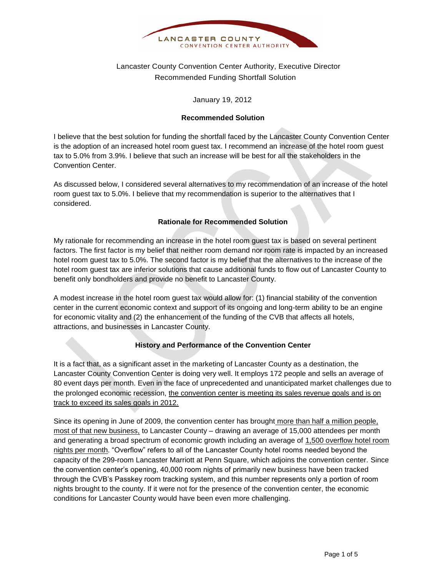

# Lancaster County Convention Center Authority, Executive Director Recommended Funding Shortfall Solution

January 19, 2012

### **Recommended Solution**

I believe that the best solution for funding the shortfall faced by the Lancaster County Convention Center is the adoption of an increased hotel room guest tax. I recommend an increase of the hotel room guest tax to 5.0% from 3.9%. I believe that such an increase will be best for all the stakeholders in the Convention Center.

As discussed below, I considered several alternatives to my recommendation of an increase of the hotel room guest tax to 5.0%. I believe that my recommendation is superior to the alternatives that I considered.

### **Rationale for Recommended Solution**

My rationale for recommending an increase in the hotel room guest tax is based on several pertinent factors. The first factor is my belief that neither room demand nor room rate is impacted by an increased hotel room guest tax to 5.0%. The second factor is my belief that the alternatives to the increase of the hotel room guest tax are inferior solutions that cause additional funds to flow out of Lancaster County to benefit only bondholders and provide no benefit to Lancaster County.

A modest increase in the hotel room guest tax would allow for: (1) financial stability of the convention center in the current economic context and support of its ongoing and long-term ability to be an engine for economic vitality and (2) the enhancement of the funding of the CVB that affects all hotels, attractions, and businesses in Lancaster County.

### **History and Performance of the Convention Center**

It is a fact that, as a significant asset in the marketing of Lancaster County as a destination, the Lancaster County Convention Center is doing very well. It employs 172 people and sells an average of 80 event days per month. Even in the face of unprecedented and unanticipated market challenges due to the prolonged economic recession, the convention center is meeting its sales revenue goals and is on track to exceed its sales goals in 2012.

Since its opening in June of 2009, the convention center has brought more than half a million people, most of that new business, to Lancaster County – drawing an average of 15,000 attendees per month and generating a broad spectrum of economic growth including an average of 1,500 overflow hotel room nights per month. "Overflow" refers to all of the Lancaster County hotel rooms needed beyond the capacity of the 299-room Lancaster Marriott at Penn Square, which adjoins the convention center. Since the convention center's opening, 40,000 room nights of primarily new business have been tracked through the CVB's Passkey room tracking system, and this number represents only a portion of room nights brought to the county. If it were not for the presence of the convention center, the economic conditions for Lancaster County would have been even more challenging.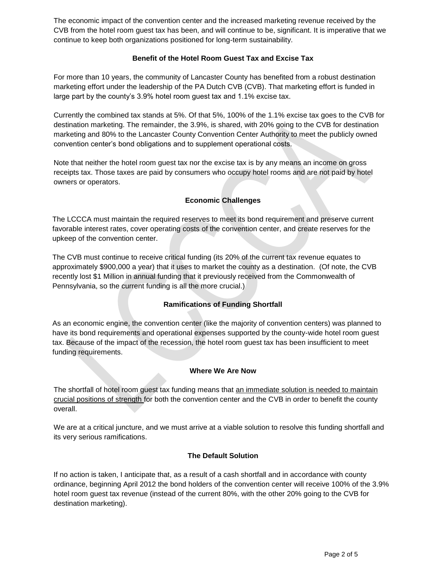The economic impact of the convention center and the increased marketing revenue received by the CVB from the hotel room guest tax has been, and will continue to be, significant. It is imperative that we continue to keep both organizations positioned for long-term sustainability.

### **Benefit of the Hotel Room Guest Tax and Excise Tax**

For more than 10 years, the community of Lancaster County has benefited from a robust destination marketing effort under the leadership of the PA Dutch CVB (CVB). That marketing effort is funded in large part by the county's 3.9% hotel room guest tax and 1.1% excise tax.

Currently the combined tax stands at 5%. Of that 5%, 100% of the 1.1% excise tax goes to the CVB for destination marketing. The remainder, the 3.9%, is shared, with 20% going to the CVB for destination marketing and 80% to the Lancaster County Convention Center Authority to meet the publicly owned convention center's bond obligations and to supplement operational costs.

Note that neither the hotel room guest tax nor the excise tax is by any means an income on gross receipts tax. Those taxes are paid by consumers who occupy hotel rooms and are not paid by hotel owners or operators.

# **Economic Challenges**

The LCCCA must maintain the required reserves to meet its bond requirement and preserve current favorable interest rates, cover operating costs of the convention center, and create reserves for the upkeep of the convention center.

The CVB must continue to receive critical funding (its 20% of the current tax revenue equates to approximately \$900,000 a year) that it uses to market the county as a destination. (Of note, the CVB recently lost \$1 Million in annual funding that it previously received from the Commonwealth of Pennsylvania, so the current funding is all the more crucial.)

## **Ramifications of Funding Shortfall**

As an economic engine, the convention center (like the majority of convention centers) was planned to have its bond requirements and operational expenses supported by the county-wide hotel room guest tax. Because of the impact of the recession, the hotel room guest tax has been insufficient to meet funding requirements.

### **Where We Are Now**

The shortfall of hotel room guest tax funding means that an immediate solution is needed to maintain crucial positions of strength for both the convention center and the CVB in order to benefit the county overall.

We are at a critical juncture, and we must arrive at a viable solution to resolve this funding shortfall and its very serious ramifications.

## **The Default Solution**

If no action is taken, I anticipate that, as a result of a cash shortfall and in accordance with county ordinance, beginning April 2012 the bond holders of the convention center will receive 100% of the 3.9% hotel room guest tax revenue (instead of the current 80%, with the other 20% going to the CVB for destination marketing).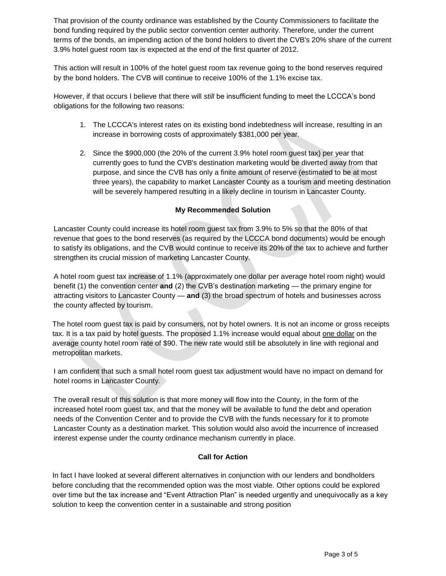That provision of the county ordinance was established by the County Commissioners to facilitate the bond funding required by the public sector convention center authority. Therefore, under the current terms of the bonds, an impending action of the bond holders to divert the CVB's 20% share of the current 3.9% hotel guest room tax is expected at the end of the first quarter of 2012.

This action will result in 100% of the hotel guest room tax revenue going to the bond reserves required by the bond holders. The CVB will continue to receive 100% of the 1.1% excise tax.

However, if that occurs I believe that there will *still* be insufficient funding to meet the LCCCA's bond obligations for the following two reasons:

- 1. The LCCCA's interest rates on its existing bond indebtedness will increase, resulting in an increase in borrowing costs of approximately \$381,000 per year.
- 2. Since the \$900,000 (the 20% of the current 3.9% hotel room guest tax) per year that currently goes to fund the CVB's destination marketing would be diverted away from that purpose, and since the CVB has only a finite amount of reserve (estimated to be at most three years), the capability to market Lancaster County as a tourism and meeting destination will be severely hampered resulting in a likely decline in tourism in Lancaster County.

### **My Recommended Solution**

Lancaster County could increase its hotel room guest tax from 3.9% to 5% so that the 80% of that revenue that goes to the bond reserves (as required by the LCCCA bond documents) would be enough to satisfy its obligations, and the CVB would continue to receive its 20% of the tax to achieve and further strengthen its crucial mission of marketing Lancaster County.

A hotel room guest tax increase of 1.1% (approximately one dollar per average hotel room night) would benefit (1) the convention center **and** (2) the CVB's destination marketing — the primary engine for attracting visitors to Lancaster County — **and** (3) the broad spectrum of hotels and businesses across the county affected by tourism.

The hotel room guest tax is paid by consumers, not by hotel owners. It is not an income or gross receipts tax. It is a tax paid by hotel guests. The proposed 1.1% increase would equal about one dollar on the average county hotel room rate of \$90. The new rate would still be absolutely in line with regional and metropolitan markets.

I am confident that such a small hotel room guest tax adjustment would have no impact on demand for hotel rooms in Lancaster County.

The overall result of this solution is that more money will flow into the County, in the form of the increased hotel room guest tax, and that the money will be available to fund the debt and operation needs of the Convention Center and to provide the CVB with the funds necessary for it to promote Lancaster County as a destination market. This solution would also avoid the incurrence of increased interest expense under the county ordinance mechanism currently in place.

### **Call for Action**

In fact I have looked at several different alternatives in conjunction with our lenders and bondholders before concluding that the recommended option was the most viable. Other options could be explored over time but the tax increase and "Event Attraction Plan" is needed urgently and unequivocally as a key solution to keep the convention center in a sustainable and strong position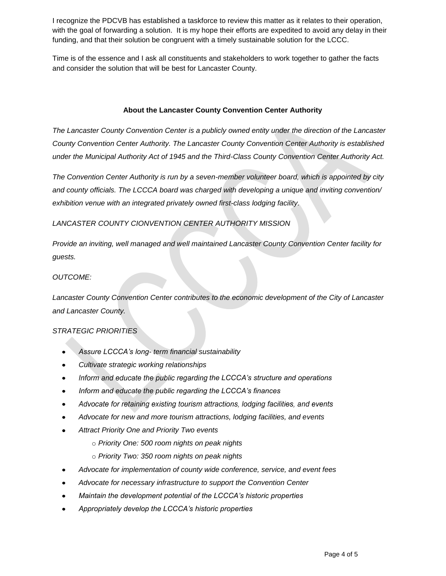I recognize the PDCVB has established a taskforce to review this matter as it relates to their operation, with the goal of forwarding a solution. It is my hope their efforts are expedited to avoid any delay in their funding, and that their solution be congruent with a timely sustainable solution for the LCCC.

Time is of the essence and I ask all constituents and stakeholders to work together to gather the facts and consider the solution that will be best for Lancaster County.

### **About the Lancaster County Convention Center Authority**

*The Lancaster County Convention Center is a publicly owned entity under the direction of the Lancaster County Convention Center Authority. The Lancaster County Convention Center Authority is established under the Municipal Authority Act of 1945 and the Third-Class County Convention Center Authority Act.* 

*The Convention Center Authority is run by a seven-member volunteer board, which is appointed by city and county officials. The LCCCA board was charged with developing a unique and inviting convention/ exhibition venue with an integrated privately owned first-class lodging facility.* 

#### *LANCASTER COUNTY CIONVENTION CENTER AUTHORITY MISSION*

*Provide an inviting, well managed and well maintained Lancaster County Convention Center facility for guests.*

#### *OUTCOME:*

*Lancaster County Convention Center contributes to the economic development of the City of Lancaster and Lancaster County.*

### *STRATEGIC PRIORITIES*

- *Assure LCCCA's long- term financial sustainability*
- *Cultivate strategic working relationships*
- Inform and educate the public regarding the LCCCA's structure and operations
- *Inform and educate the public regarding the LCCCA's finances*
- Advocate for retaining existing tourism attractions, lodging facilities, and events
- *Advocate for new and more tourism attractions, lodging facilities, and events*
- *Attract Priority One and Priority Two events*
	- o *Priority One: 500 room nights on peak nights*
	- o *Priority Two: 350 room nights on peak nights*
- *Advocate for implementation of county wide conference, service, and event fees*
- *Advocate for necessary infrastructure to support the Convention Center*
- *Maintain the development potential of the LCCCA's historic properties*
- *Appropriately develop the LCCCA's historic properties*